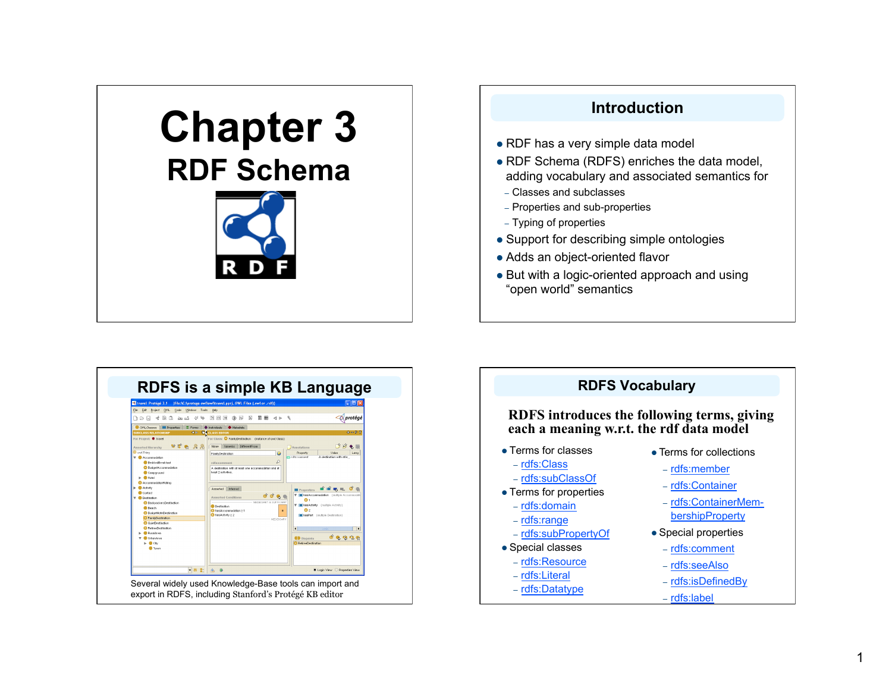# **Chapter 3 RDF Schema**



# **Introduction**  • RDF has a very simple data model RDF Schema (RDFS) enriches the data model, adding vocabulary and associated semantics for

- Classes and subclasses
- Properties and sub-properties
- Typing of properties
- Support for describing simple ontologies
- Adds an object-oriented flavor
- But with a logic-oriented approach and using "open world" semantics



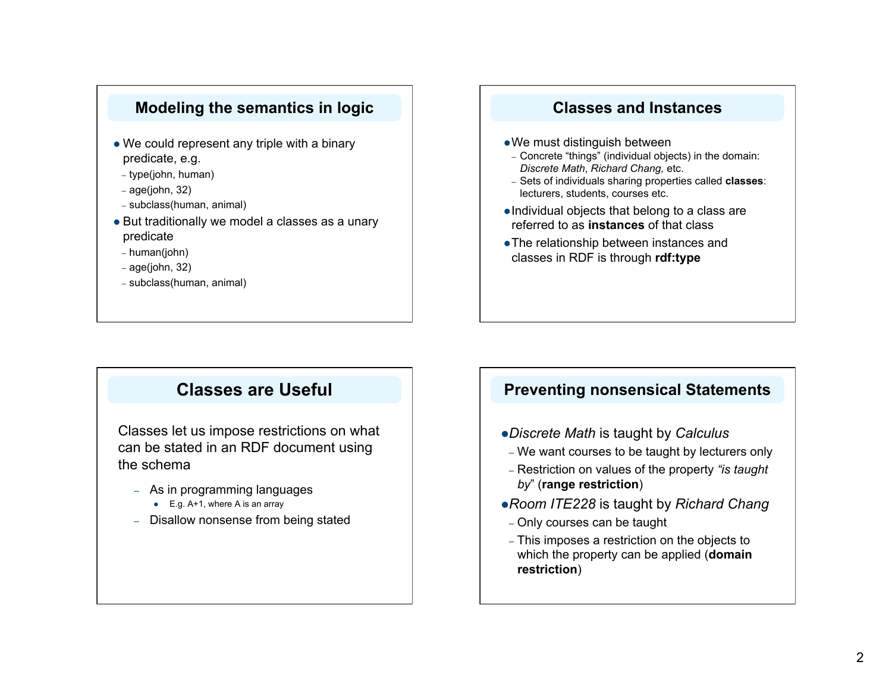#### **Modeling the semantics in logic**

- We could represent any triple with a binary predicate, e.g.
- type(john, human)
- $-$  age(john, 32)
- subclass(human, animal)
- But traditionally we model a classes as a unary predicate
- human(john)
- age(john, 32)
- subclass(human, animal)

#### **Classes and Instances**

- We must distinguish between
- Concrete "things" (individual objects) in the domain: *Discrete Math*, *Richard Chang,* etc.
- Sets of individuals sharing properties called **classes**: lecturers, students, courses etc.
- Individual objects that belong to a class are referred to as **instances** of that class
- The relationship between instances and classes in RDF is through **rdf:type**

# **Classes are Useful**

Classes let us impose restrictions on what can be stated in an RDF document using the schema

- As in programming languages
	- $\bullet$  E.g. A+1, where A is an array
- Disallow nonsense from being stated

#### **Preventing nonsensical Statements**

- *Discrete Math* is taught by *Calculus*
- We want courses to be taught by lecturers only
- Restriction on values of the property *"is taught by*" (**range restriction**)
- *Room ITE228* is taught by *Richard Chang*
- Only courses can be taught
- This imposes a restriction on the objects to which the property can be applied (**domain restriction**)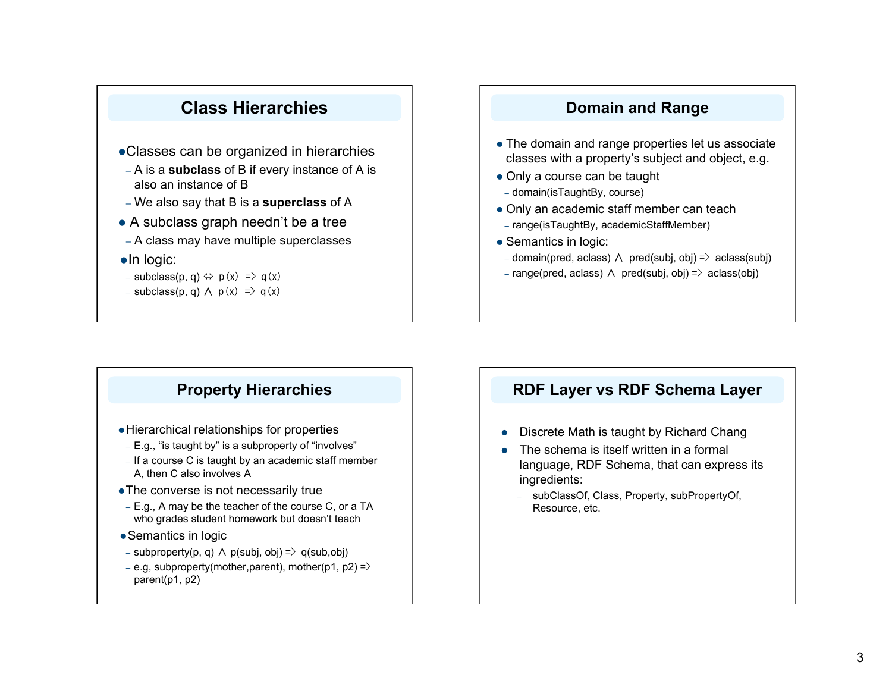# **Class Hierarchies**

- Classes can be organized in hierarchies
- A is a **subclass** of B if every instance of A is also an instance of B
- We also say that B is a **superclass** of A
- A subclass graph needn't be a tree
- A class may have multiple superclasses
- $\bullet$ In logic:
- subclass(p, q)  $\Leftrightarrow$  p(x) => q(x)
- subclass(p, q)  $\land$  p(x) => q(x)

#### **Domain and Range**

- The domain and range properties let us associate classes with a property's subject and object, e.g.
- Only a course can be taught
- domain(isTaughtBy, course)
- Only an academic staff member can teach
- range(isTaughtBy, academicStaffMember)
- Semantics in logic:
- domain(pred, aclass) ∧ pred(subj, obj) => aclass(subj)
- range(pred, aclass) ∧ pred(subj, obj) => aclass(obj)

## **Property Hierarchies**

- Hierarchical relationships for properties
- E.g., "is taught by" is a subproperty of "involves"
- If a course C is taught by an academic staff member A, then C also involves Α
- The converse is not necessarily true
- E.g., A may be the teacher of the course C, or a TA who grades student homework but doesn't teach
- Semantics in logic
- subproperty(p, q) ∧ p(subj, obj) => q(sub,obj)
- e.g, subproperty(mother,parent), mother(p1, p2) => parent(p1, p2)

#### **RDF Layer vs RDF Schema Layer**

- Discrete Math is taught by Richard Chang
- The schema is itself written in a formal language, RDF Schema, that can express its ingredients:
	- subClassOf, Class, Property, subPropertyOf, Resource, etc.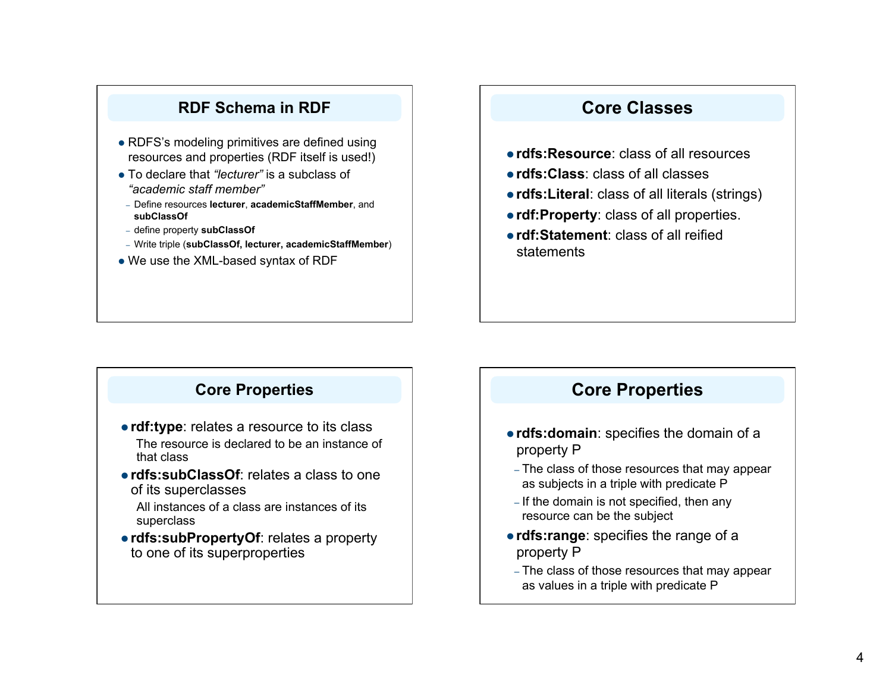### **RDF Schema in RDF**

- RDFS's modeling primitives are defined using resources and properties (RDF itself is used!)
- To declare that *"lecturer"* is a subclass of *"academic staff member"*
- Define resources **lecturer**, **academicStaffMember**, and **subClassOf**
- define property **subClassOf**
- Write triple (**subClassOf, lecturer, academicStaffMember**)
- We use the XML-based syntax of RDF

# **Core Classes**

- **rdfs:Resource**: class of all resources
- **rdfs:Class**: class of all classes
- **rdfs:Literal**: class of all literals (strings)
- **rdf:Property**: class of all properties.
- **rdf:Statement**: class of all reified statements

## **Core Properties**

- **rdf:type**: relates a resource to its class The resource is declared to be an instance of that class
- **rdfs:subClassOf**: relates a class to one of its superclasses

All instances of a class are instances of its superclass

 **rdfs:subPropertyOf**: relates a property to one of its superproperties

## **Core Properties**

- **rdfs:domain**: specifies the domain of a property P
- The class of those resources that may appear as subjects in a triple with predicate P
- If the domain is not specified, then any resource can be the subject
- **rdfs:range**: specifies the range of a property P
- The class of those resources that may appear as values in a triple with predicate P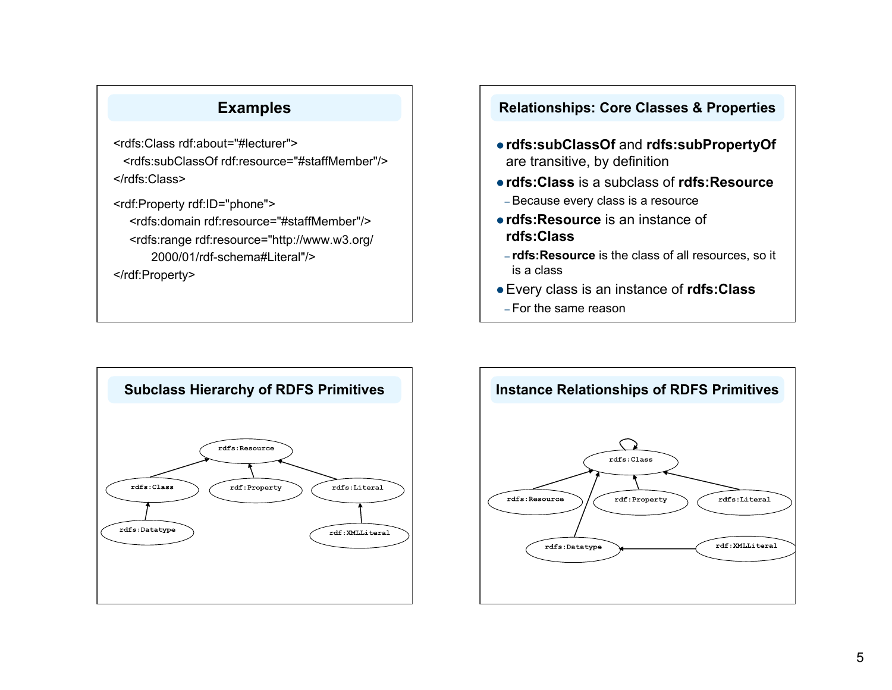## **Examples**

<rdfs:Class rdf:about="#lecturer"> <rdfs:subClassOf rdf:resource="#staffMember"/> </rdfs:Class>

<rdf:Property rdf:ID="phone"> <rdfs:domain rdf:resource="#staffMember"/> <rdfs:range rdf:resource="http://www.w3.org/ 2000/01/rdf-schema#Literal"/>

</rdf:Property>

#### **Relationships: Core Classes & Properties**

- **rdfs:subClassOf** and **rdfs:subPropertyOf** are transitive, by definition
- **rdfs:Class** is a subclass of **rdfs:Resource** – Because every class is a resource
- **rdfs:Resource** is an instance of **rdfs:Class**
- **rdfs:Resource** is the class of all resources, so it is a class
- Every class is an instance of **rdfs:Class**
- For the same reason



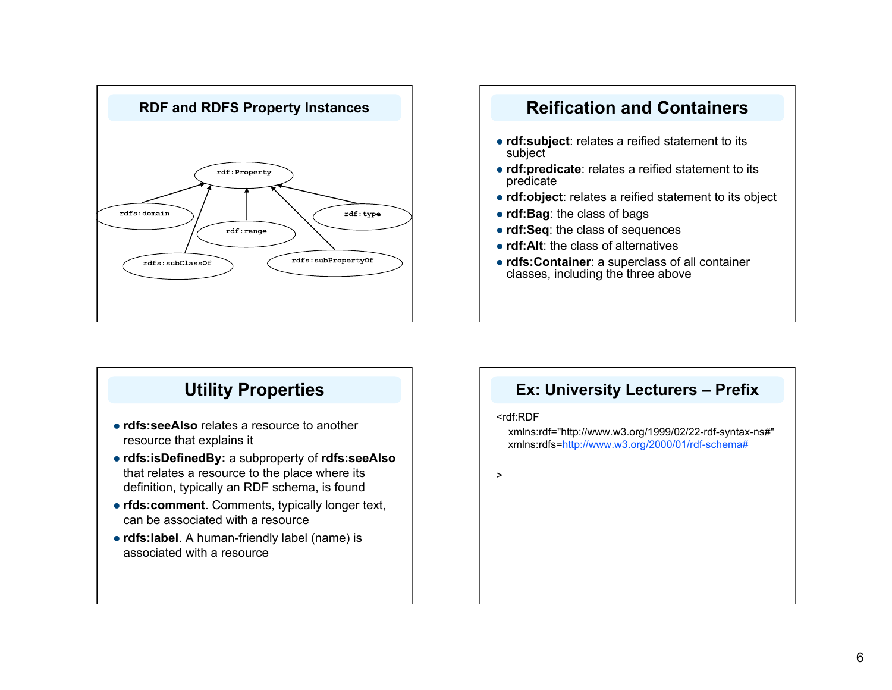

# **rdf:subject**: relates a reified statement to its subject **rdf:predicate**: relates a reified statement to its predicate **rdf:object**: relates a reified statement to its object **rdf:Bag**: the class of bags **rdf:Seq**: the class of sequences **• rdf:Alt**: the class of alternatives **rdfs:Container**: a superclass of all container classes, including the three above

# **Utility Properties**

- **rdfs:seeAlso** relates a resource to another resource that explains it
- **rdfs:isDefinedBy:** a subproperty of **rdfs:seeAlso** that relates a resource to the place where its definition, typically an RDF schema, is found
- **rfds:comment**. Comments, typically longer text, can be associated with a resource
- **rdfs:label**. A human-friendly label (name) is associated with a resource

#### **Ex: University Lecturers – Prefix**

#### <rdf:RDF

xmlns:rdf="http://www.w3.org/1999/02/22-rdf-syntax-ns#" xmlns:rdfs=http://www.w3.org/2000/01/rdf-schema#

>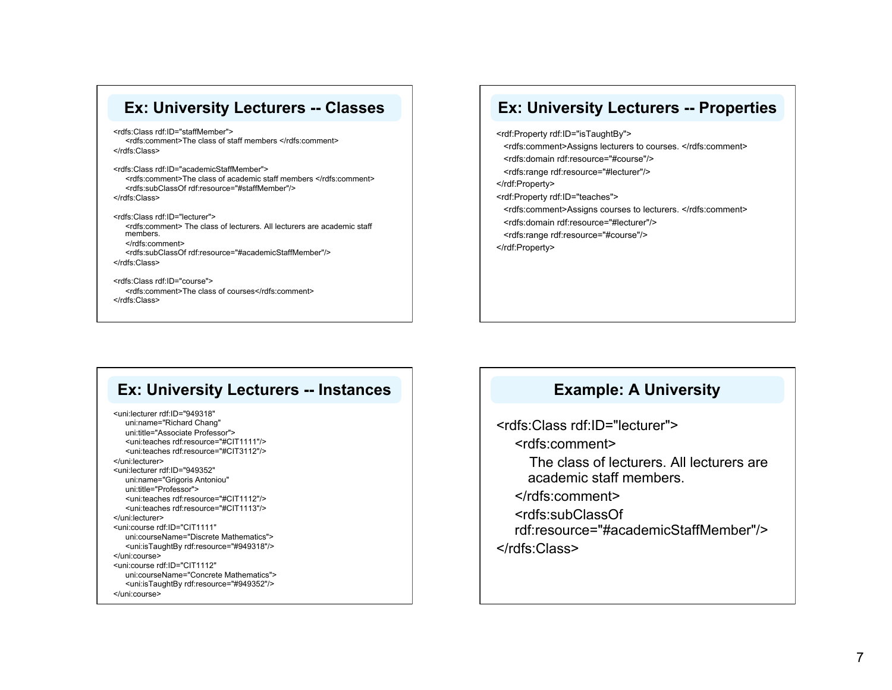#### **Ex: University Lecturers -- Classes**

<rdfs:Class rdf:ID="staffMember"> <rdfs:comment>The class of staff members </rdfs:comment> </rdfs:Class>

<rdfs:Class rdf:ID="academicStaffMember"> <rdfs:comment>The class of academic staff members </rdfs:comment> <rdfs:subClassOf rdf:resource="#staffMember"/> </rdfs:Class>

<rdfs:Class rdf:ID="lecturer"> <rdfs:comment> The class of lecturers. All lecturers are academic staff members. </rdfs:comment> <rdfs:subClassOf rdf:resource="#academicStaffMember"/> </rdfs:Class>

<rdfs:Class rdf:ID="course"> <rdfs:comment>The class of courses</rdfs:comment> </rdfs:Class>

#### **Ex: University Lecturers -- Properties**

<rdf:Property rdf:ID="isTaughtBy"> <rdfs:comment>Assigns lecturers to courses. </rdfs:comment> <rdfs:domain rdf:resource="#course"/> <rdfs:range rdf:resource="#lecturer"/> </rdf:Property> <rdf:Property rdf:ID="teaches"> <rdfs:comment>Assigns courses to lecturers. </rdfs:comment> <rdfs:domain rdf:resource="#lecturer"/> <rdfs:range rdf:resource="#course"/> </rdf:Property>

#### **Ex: University Lecturers -- Instances**

<uni:lecturer rdf:ID="949318" uni:name="Richard Chang" uni:title="Associate Professor"> <uni:teaches rdf:resource="#CIT1111"/> <uni:teaches rdf:resource="#CIT3112"/> </uni:lecturer> <uni:lecturer rdf:ID="949352" uni:name="Grigoris Antoniou" uni:title="Professor"> <uni:teaches rdf:resource="#CIT1112"/> <uni:teaches rdf:resource="#CIT1113"/> </uni:lecturer> <uni:course rdf:ID="CIT1111" uni:courseName="Discrete Mathematics"> <uni:isTaughtBy rdf:resource="#949318"/> </uni:course> <uni:course rdf:ID="CIT1112" uni:courseName="Concrete Mathematics"> <uni:isTaughtBy rdf:resource="#949352"/> </uni:course>

#### **Example: A University**

<rdfs:Class rdf:ID="lecturer"> <rdfs:comment> The class of lecturers. All lecturers are academic staff members. </rdfs:comment> <rdfs:subClassOf rdf:resource="#academicStaffMember"/> </rdfs:Class>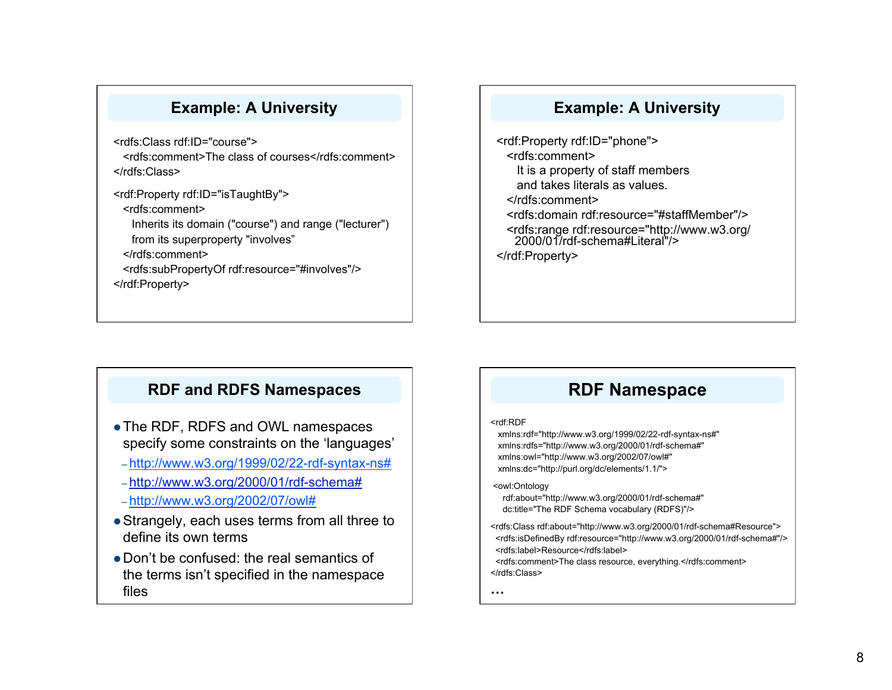#### **Example: A University**

<rdfs:Class rdf:ID="course">

 <rdfs:comment>The class of courses</rdfs:comment> </rdfs:Class>

<rdf:Property rdf:ID="isTaughtBy">

<rdfs:comment>

Inherits its domain ("course") and range ("lecturer") from its superproperty "involves"

</rdfs:comment>

 <rdfs:subPropertyOf rdf:resource="#involves"/> </rdf:Property>

#### **Example: A University**

<rdf:Property rdf:ID="phone"> <rdfs:comment> It is a property of staff members and takes literals as values. </rdfs:comment> <rdfs:domain rdf:resource="#staffMember"/> <rdfs:range rdf:resource="http://www.w3.org/ 2000/01/rdf-schema#Literal"/> </rdf:Property>

#### **RDF and RDFS Namespaces**

- The RDF, RDFS and OWL namespaces specify some constraints on the 'languages'
- http://www.w3.org/1999/02/22-rdf-syntax-ns#
- http://www.w3.org/2000/01/rdf-schema#
- http://www.w3.org/2002/07/owl#
- Strangely, each uses terms from all three to define its own terms
- Don't be confused: the real semantics of the terms isn't specified in the namespace files

# **RDF Namespace**

#### <rdf:RDF

 xmlns:rdf="http://www.w3.org/1999/02/22-rdf-syntax-ns#" xmlns:rdfs="http://www.w3.org/2000/01/rdf-schema#" xmlns:owl="http://www.w3.org/2002/07/owl#" xmlns:dc="http://purl.org/dc/elements/1.1/">

#### <owl:Ontology

 rdf:about="http://www.w3.org/2000/01/rdf-schema#" dc:title="The RDF Schema vocabulary (RDFS)"/>

<rdfs:Class rdf:about="http://www.w3.org/2000/01/rdf-schema#Resource"> <rdfs:isDefinedBy rdf:resource="http://www.w3.org/2000/01/rdf-schema#"/> <rdfs:label>Resource</rdfs:label>

 <rdfs:comment>The class resource, everything.</rdfs:comment> </rdfs:Class>

**…**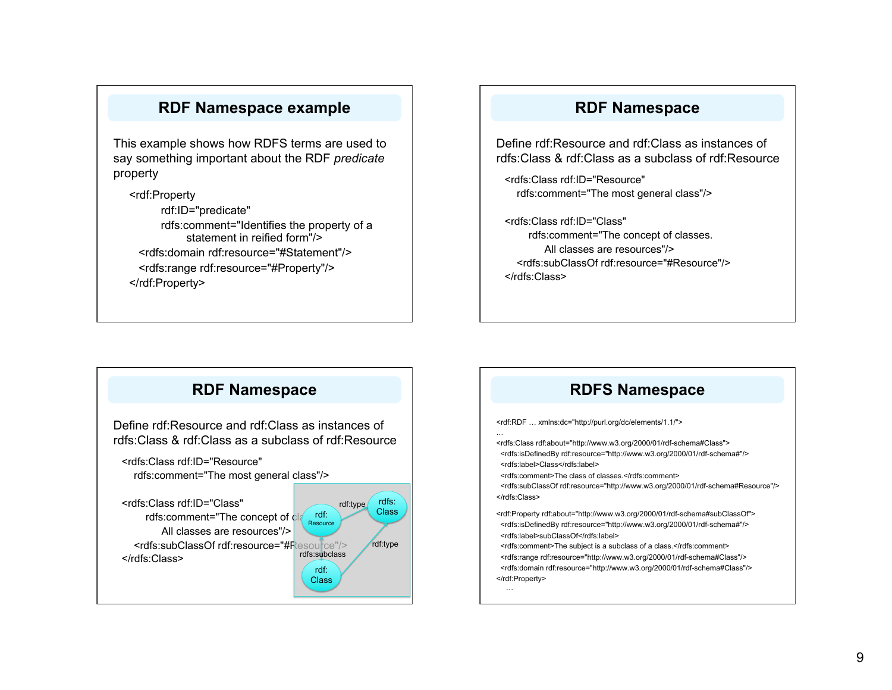#### **RDF Namespace example**

This example shows how RDFS terms are used to say something important about the RDF *predicate* property

<rdf:Property rdf:ID="predicate" rdfs:comment="Identifies the property of a statement in reified form"/> <rdfs:domain rdf:resource="#Statement"/> <rdfs:range rdf:resource="#Property"/> </rdf:Property>

#### **RDF Namespace**

Define rdf:Resource and rdf:Class as instances of rdfs:Class & rdf:Class as a subclass of rdf:Resource

<rdfs:Class rdf:ID="Resource" rdfs:comment="The most general class"/>

<rdfs:Class rdf:ID="Class" rdfs:comment="The concept of classes. All classes are resources"/> <rdfs:subClassOf rdf:resource="#Resource"/> </rdfs:Class>



#### **RDFS Namespace**

<rdf:RDF … xmlns:dc="http://purl.org/dc/elements/1.1/">

<rdfs:Class rdf:about="http://www.w3.org/2000/01/rdf-schema#Class"> <rdfs:isDefinedBy rdf:resource="http://www.w3.org/2000/01/rdf-schema#"/> <rdfs:label>Class</rdfs:label>

<rdfs:comment>The class of classes.</rdfs:comment>

<rdfs:subClassOf rdf:resource="http://www.w3.org/2000/01/rdf-schema#Resource"/>

<rdf:Property rdf:about="http://www.w3.org/2000/01/rdf-schema#subClassOf"> <rdfs:isDefinedBy rdf:resource="http://www.w3.org/2000/01/rdf-schema#"/> <rdfs:label>subClassOf</rdfs:label>

 <rdfs:comment>The subject is a subclass of a class.</rdfs:comment> <rdfs:range rdf:resource="http://www.w3.org/2000/01/rdf-schema#Class"/> <rdfs:domain rdf:resource="http://www.w3.org/2000/01/rdf-schema#Class"/>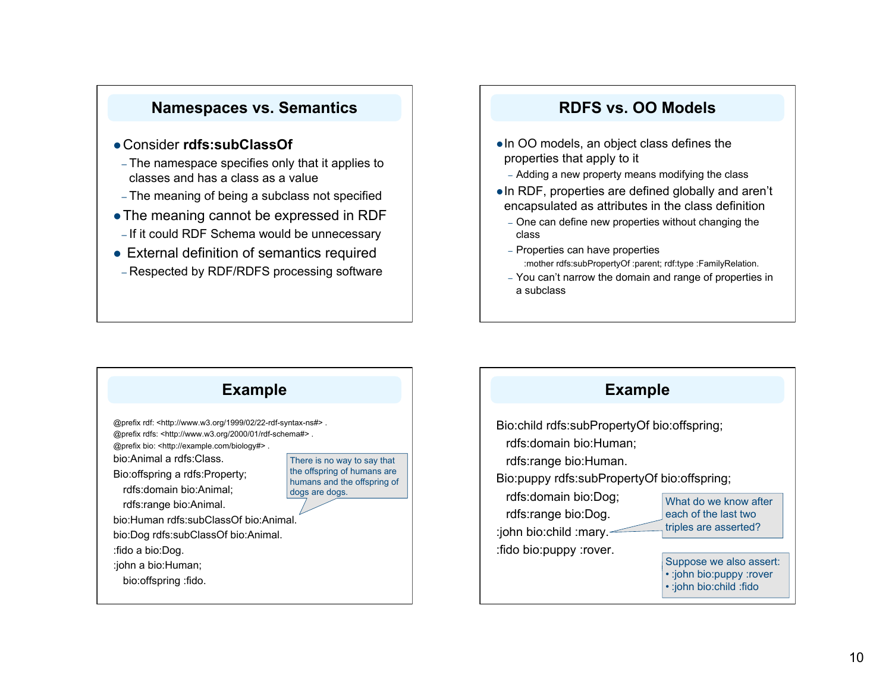#### **Namespaces vs. Semantics**

#### Consider **rdfs:subClassOf**

- The namespace specifies only that it applies to classes and has a class as a value
- The meaning of being a subclass not specified
- The meaning cannot be expressed in RDF
- If it could RDF Schema would be unnecessary
- External definition of semantics required
- Respected by RDF/RDFS processing software

#### **RDFS vs. OO Models**

- In OO models, an object class defines the properties that apply to it
	- Adding a new property means modifying the class
- In RDF, properties are defined globally and aren't encapsulated as attributes in the class definition
	- One can define new properties without changing the class
	- Properties can have properties :mother rdfs:subPropertyOf :parent; rdf:type :FamilyRelation.
	- You can't narrow the domain and range of properties in a subclass



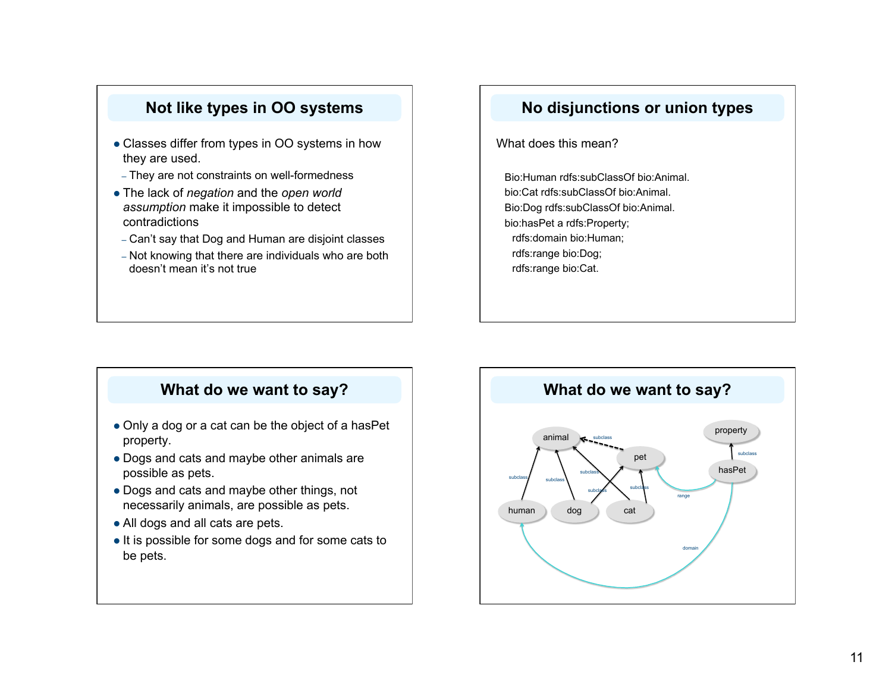#### **Not like types in OO systems**

- Classes differ from types in OO systems in how they are used.
- They are not constraints on well-formedness
- The lack of *negation* and the *open world assumption* make it impossible to detect contradictions
- Can't say that Dog and Human are disjoint classes
- Not knowing that there are individuals who are both doesn't mean it's not true

#### **No disjunctions or union types**

What does this mean?

Bio:Human rdfs:subClassOf bio:Animal. bio:Cat rdfs:subClassOf bio:Animal. Bio:Dog rdfs:subClassOf bio:Animal. bio:hasPet a rdfs:Property; rdfs:domain bio:Human; rdfs:range bio:Dog; rdfs:range bio:Cat.

## **What do we want to say?**

- Only a dog or a cat can be the object of a hasPet property.
- Dogs and cats and maybe other animals are possible as pets.
- Dogs and cats and maybe other things, not necessarily animals, are possible as pets.
- All dogs and all cats are pets.
- It is possible for some dogs and for some cats to be pets.

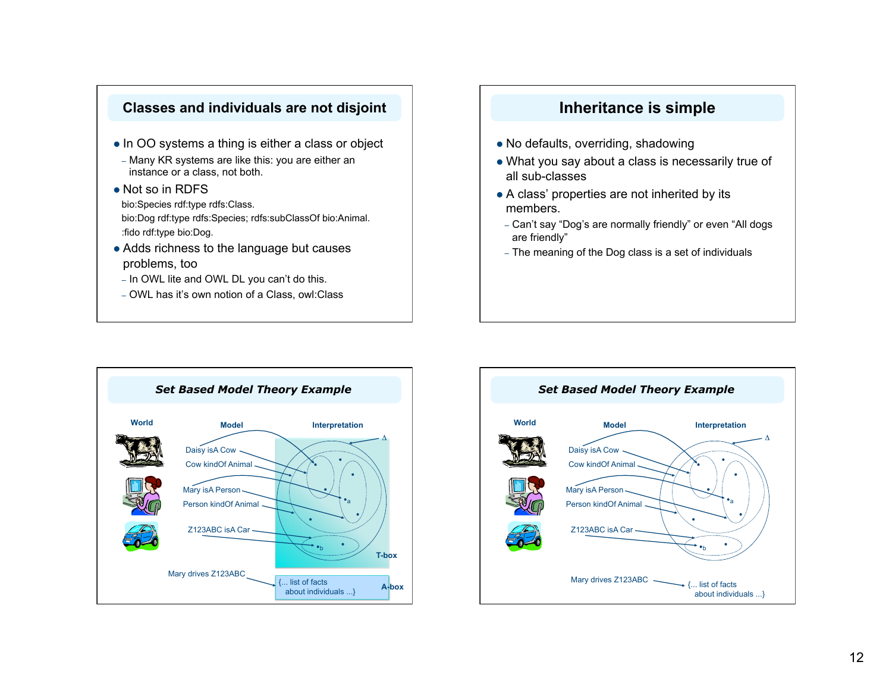#### **Classes and individuals are not disjoint**

- In OO systems a thing is either a class or object
- Many KR systems are like this: you are either an instance or a class, not both.
- Not so in RDFS bio:Species rdf:type rdfs:Class. bio:Dog rdf:type rdfs:Species; rdfs:subClassOf bio:Animal. :fido rdf:type bio:Dog.
- Adds richness to the language but causes problems, too
- In OWL lite and OWL DL you can't do this.
- OWL has it's own notion of a Class, owl:Class

## **Inheritance is simple**

- No defaults, overriding, shadowing
- What you say about a class is necessarily true of all sub-classes
- A class' properties are not inherited by its members.
- Can't say "Dog's are normally friendly" or even "All dogs are friendly"
- The meaning of the Dog class is a set of individuals